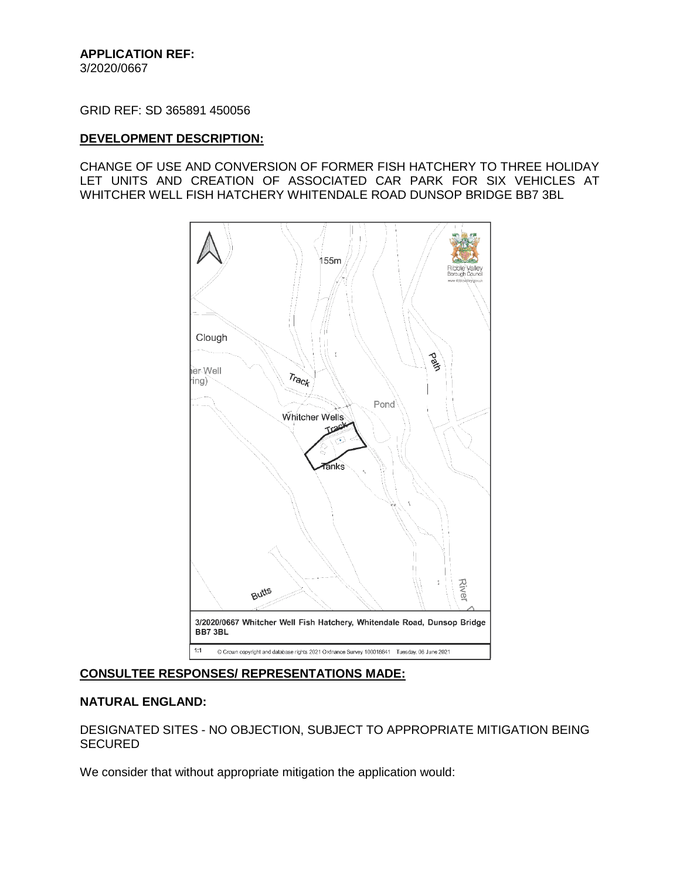GRID REF: SD 365891 450056

#### **DEVELOPMENT DESCRIPTION:**

CHANGE OF USE AND CONVERSION OF FORMER FISH HATCHERY TO THREE HOLIDAY LET UNITS AND CREATION OF ASSOCIATED CAR PARK FOR SIX VEHICLES AT WHITCHER WELL FISH HATCHERY WHITENDALE ROAD DUNSOP BRIDGE BB7 3BL



### **CONSULTEE RESPONSES/ REPRESENTATIONS MADE:**

#### **NATURAL ENGLAND:**

DESIGNATED SITES - NO OBJECTION, SUBJECT TO APPROPRIATE MITIGATION BEING SECURED

We consider that without appropriate mitigation the application would: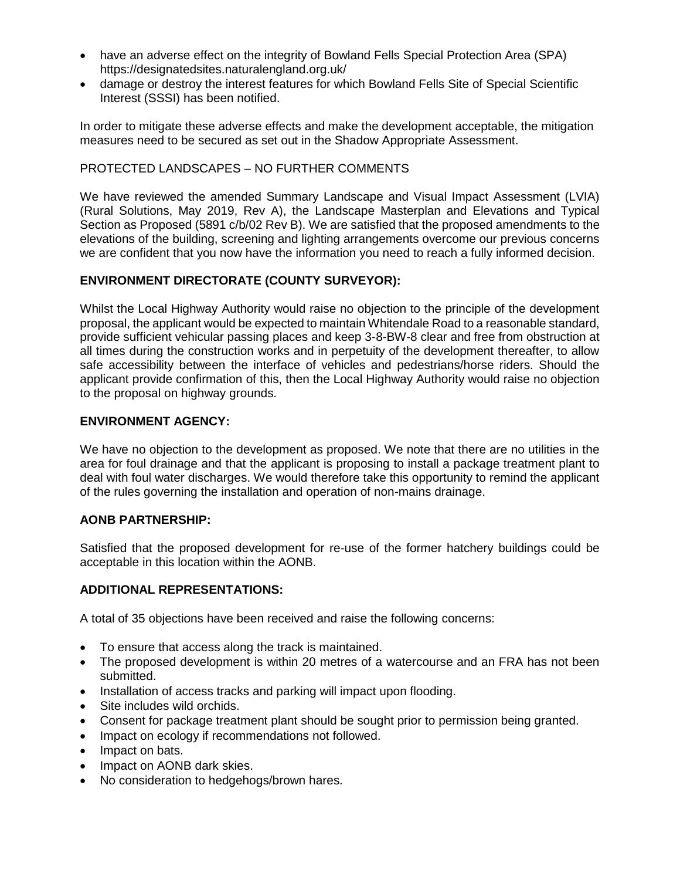- have an adverse effect on the integrity of Bowland Fells Special Protection Area (SPA) https://designatedsites.naturalengland.org.uk/
- damage or destroy the interest features for which Bowland Fells Site of Special Scientific Interest (SSSI) has been notified.

In order to mitigate these adverse effects and make the development acceptable, the mitigation measures need to be secured as set out in the Shadow Appropriate Assessment.

# PROTECTED LANDSCAPES – NO FURTHER COMMENTS

We have reviewed the amended Summary Landscape and Visual Impact Assessment (LVIA) (Rural Solutions, May 2019, Rev A), the Landscape Masterplan and Elevations and Typical Section as Proposed (5891 c/b/02 Rev B). We are satisfied that the proposed amendments to the elevations of the building, screening and lighting arrangements overcome our previous concerns we are confident that you now have the information you need to reach a fully informed decision.

# **ENVIRONMENT DIRECTORATE (COUNTY SURVEYOR):**

Whilst the Local Highway Authority would raise no objection to the principle of the development proposal, the applicant would be expected to maintain Whitendale Road to a reasonable standard, provide sufficient vehicular passing places and keep 3-8-BW-8 clear and free from obstruction at all times during the construction works and in perpetuity of the development thereafter, to allow safe accessibility between the interface of vehicles and pedestrians/horse riders. Should the applicant provide confirmation of this, then the Local Highway Authority would raise no objection to the proposal on highway grounds.

### **ENVIRONMENT AGENCY:**

We have no objection to the development as proposed. We note that there are no utilities in the area for foul drainage and that the applicant is proposing to install a package treatment plant to deal with foul water discharges. We would therefore take this opportunity to remind the applicant of the rules governing the installation and operation of non-mains drainage.

### **AONB PARTNERSHIP:**

Satisfied that the proposed development for re-use of the former hatchery buildings could be acceptable in this location within the AONB.

### **ADDITIONAL REPRESENTATIONS:**

A total of 35 objections have been received and raise the following concerns:

- To ensure that access along the track is maintained.
- The proposed development is within 20 metres of a watercourse and an FRA has not been submitted.
- Installation of access tracks and parking will impact upon flooding.
- Site includes wild orchids.
- Consent for package treatment plant should be sought prior to permission being granted.
- Impact on ecology if recommendations not followed.
- Impact on bats.
- Impact on AONB dark skies.
- No consideration to hedgehogs/brown hares.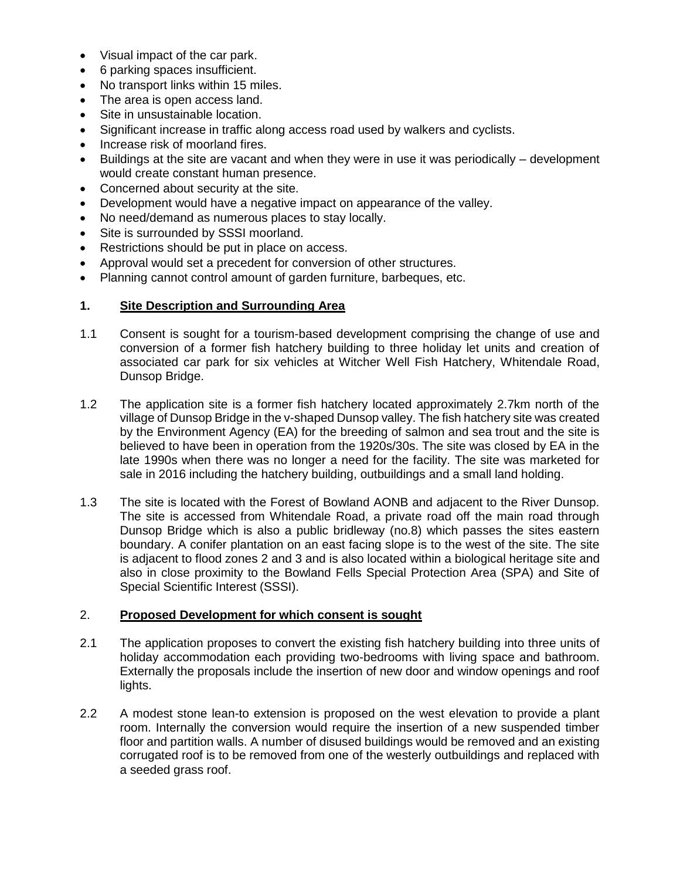- Visual impact of the car park.
- 6 parking spaces insufficient.
- No transport links within 15 miles.
- The area is open access land.
- Site in unsustainable location.
- Significant increase in traffic along access road used by walkers and cyclists.
- Increase risk of moorland fires.
- Buildings at the site are vacant and when they were in use it was periodically development would create constant human presence.
- Concerned about security at the site.
- Development would have a negative impact on appearance of the valley.
- No need/demand as numerous places to stay locally.
- Site is surrounded by SSSI moorland.
- Restrictions should be put in place on access.
- Approval would set a precedent for conversion of other structures.
- Planning cannot control amount of garden furniture, barbeques, etc.

### **1. Site Description and Surrounding Area**

- 1.1 Consent is sought for a tourism-based development comprising the change of use and conversion of a former fish hatchery building to three holiday let units and creation of associated car park for six vehicles at Witcher Well Fish Hatchery, Whitendale Road, Dunsop Bridge.
- 1.2 The application site is a former fish hatchery located approximately 2.7km north of the village of Dunsop Bridge in the v-shaped Dunsop valley. The fish hatchery site was created by the Environment Agency (EA) for the breeding of salmon and sea trout and the site is believed to have been in operation from the 1920s/30s. The site was closed by EA in the late 1990s when there was no longer a need for the facility. The site was marketed for sale in 2016 including the hatchery building, outbuildings and a small land holding.
- 1.3 The site is located with the Forest of Bowland AONB and adjacent to the River Dunsop. The site is accessed from Whitendale Road, a private road off the main road through Dunsop Bridge which is also a public bridleway (no.8) which passes the sites eastern boundary. A conifer plantation on an east facing slope is to the west of the site. The site is adjacent to flood zones 2 and 3 and is also located within a biological heritage site and also in close proximity to the Bowland Fells Special Protection Area (SPA) and Site of Special Scientific Interest (SSSI).

#### 2. **Proposed Development for which consent is sought**

- 2.1 The application proposes to convert the existing fish hatchery building into three units of holiday accommodation each providing two-bedrooms with living space and bathroom. Externally the proposals include the insertion of new door and window openings and roof lights.
- 2.2 A modest stone lean-to extension is proposed on the west elevation to provide a plant room. Internally the conversion would require the insertion of a new suspended timber floor and partition walls. A number of disused buildings would be removed and an existing corrugated roof is to be removed from one of the westerly outbuildings and replaced with a seeded grass roof.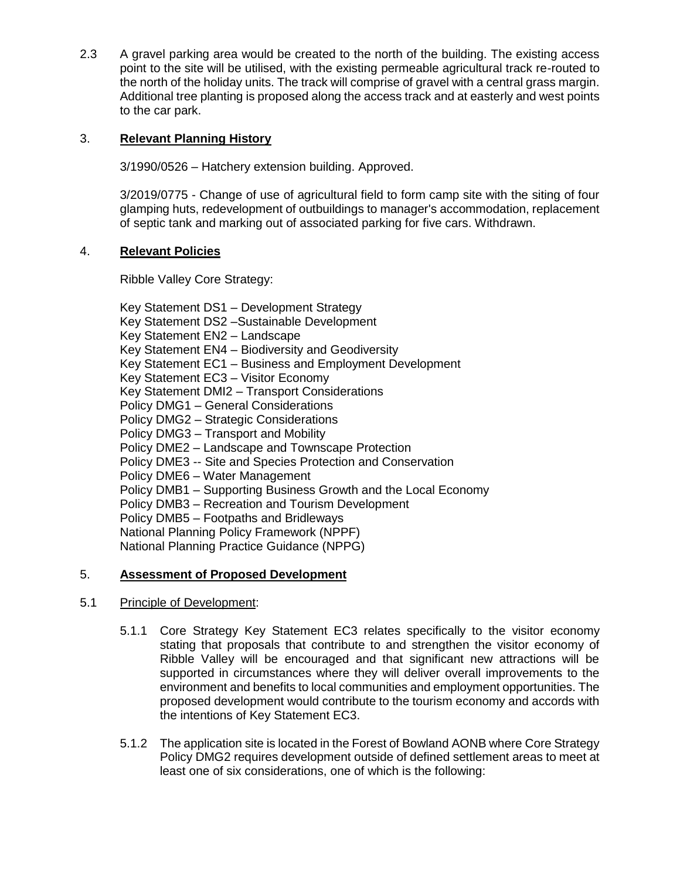2.3 A gravel parking area would be created to the north of the building. The existing access point to the site will be utilised, with the existing permeable agricultural track re-routed to the north of the holiday units. The track will comprise of gravel with a central grass margin. Additional tree planting is proposed along the access track and at easterly and west points to the car park.

# 3. **Relevant Planning History**

3/1990/0526 – Hatchery extension building. Approved.

3/2019/0775 - Change of use of agricultural field to form camp site with the siting of four glamping huts, redevelopment of outbuildings to manager's accommodation, replacement of septic tank and marking out of associated parking for five cars. Withdrawn.

### 4. **Relevant Policies**

Ribble Valley Core Strategy:

Key Statement DS1 – Development Strategy Key Statement DS2 –Sustainable Development Key Statement EN2 – Landscape Key Statement EN4 – Biodiversity and Geodiversity Key Statement EC1 – Business and Employment Development Key Statement EC3 – Visitor Economy Key Statement DMI2 – Transport Considerations Policy DMG1 – General Considerations Policy DMG2 – Strategic Considerations Policy DMG3 – Transport and Mobility Policy DME2 – Landscape and Townscape Protection Policy DME3 -- Site and Species Protection and Conservation Policy DME6 – Water Management Policy DMB1 – Supporting Business Growth and the Local Economy Policy DMB3 – Recreation and Tourism Development Policy DMB5 – Footpaths and Bridleways National Planning Policy Framework (NPPF) National Planning Practice Guidance (NPPG)

### 5. **Assessment of Proposed Development**

- 5.1 Principle of Development:
	- 5.1.1 Core Strategy Key Statement EC3 relates specifically to the visitor economy stating that proposals that contribute to and strengthen the visitor economy of Ribble Valley will be encouraged and that significant new attractions will be supported in circumstances where they will deliver overall improvements to the environment and benefits to local communities and employment opportunities. The proposed development would contribute to the tourism economy and accords with the intentions of Key Statement EC3.
	- 5.1.2 The application site is located in the Forest of Bowland AONB where Core Strategy Policy DMG2 requires development outside of defined settlement areas to meet at least one of six considerations, one of which is the following: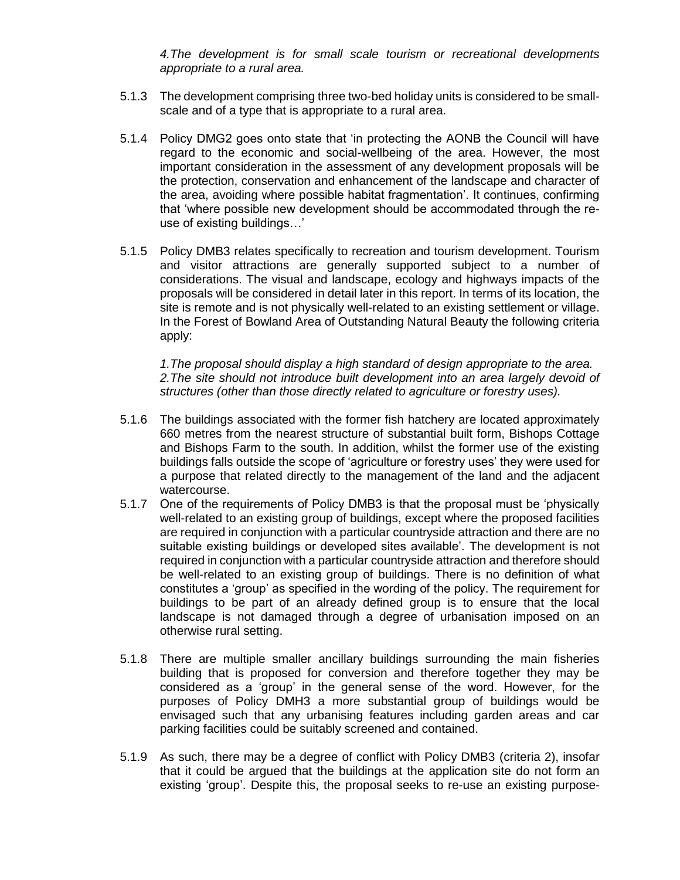*4.The development is for small scale tourism or recreational developments appropriate to a rural area.*

- 5.1.3 The development comprising three two-bed holiday units is considered to be smallscale and of a type that is appropriate to a rural area.
- 5.1.4 Policy DMG2 goes onto state that 'in protecting the AONB the Council will have regard to the economic and social-wellbeing of the area. However, the most important consideration in the assessment of any development proposals will be the protection, conservation and enhancement of the landscape and character of the area, avoiding where possible habitat fragmentation'. It continues, confirming that 'where possible new development should be accommodated through the reuse of existing buildings…'
- 5.1.5 Policy DMB3 relates specifically to recreation and tourism development. Tourism and visitor attractions are generally supported subject to a number of considerations. The visual and landscape, ecology and highways impacts of the proposals will be considered in detail later in this report. In terms of its location, the site is remote and is not physically well-related to an existing settlement or village. In the Forest of Bowland Area of Outstanding Natural Beauty the following criteria apply:

*1.The proposal should display a high standard of design appropriate to the area.* 2. The site should not introduce built development into an area largely devoid of *structures (other than those directly related to agriculture or forestry uses).*

- 5.1.6 The buildings associated with the former fish hatchery are located approximately 660 metres from the nearest structure of substantial built form, Bishops Cottage and Bishops Farm to the south. In addition, whilst the former use of the existing buildings falls outside the scope of 'agriculture or forestry uses' they were used for a purpose that related directly to the management of the land and the adjacent watercourse.
- 5.1.7 One of the requirements of Policy DMB3 is that the proposal must be 'physically well-related to an existing group of buildings, except where the proposed facilities are required in conjunction with a particular countryside attraction and there are no suitable existing buildings or developed sites available'. The development is not required in conjunction with a particular countryside attraction and therefore should be well-related to an existing group of buildings. There is no definition of what constitutes a 'group' as specified in the wording of the policy. The requirement for buildings to be part of an already defined group is to ensure that the local landscape is not damaged through a degree of urbanisation imposed on an otherwise rural setting.
- 5.1.8 There are multiple smaller ancillary buildings surrounding the main fisheries building that is proposed for conversion and therefore together they may be considered as a 'group' in the general sense of the word. However, for the purposes of Policy DMH3 a more substantial group of buildings would be envisaged such that any urbanising features including garden areas and car parking facilities could be suitably screened and contained.
- 5.1.9 As such, there may be a degree of conflict with Policy DMB3 (criteria 2), insofar that it could be argued that the buildings at the application site do not form an existing 'group'. Despite this, the proposal seeks to re-use an existing purpose-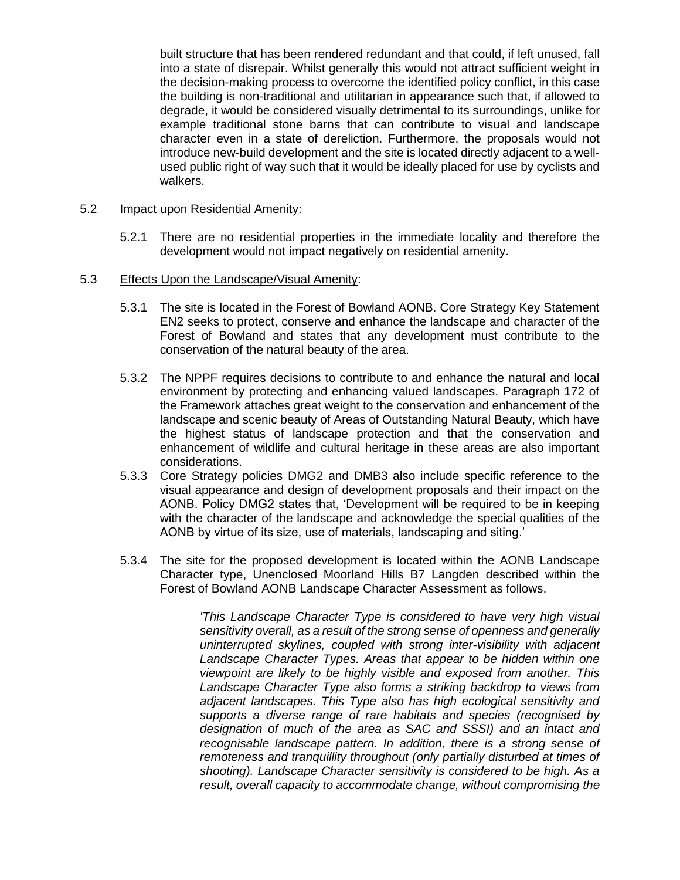built structure that has been rendered redundant and that could, if left unused, fall into a state of disrepair. Whilst generally this would not attract sufficient weight in the decision-making process to overcome the identified policy conflict, in this case the building is non-traditional and utilitarian in appearance such that, if allowed to degrade, it would be considered visually detrimental to its surroundings, unlike for example traditional stone barns that can contribute to visual and landscape character even in a state of dereliction. Furthermore, the proposals would not introduce new-build development and the site is located directly adjacent to a wellused public right of way such that it would be ideally placed for use by cyclists and walkers.

#### 5.2 Impact upon Residential Amenity:

- 5.2.1 There are no residential properties in the immediate locality and therefore the development would not impact negatively on residential amenity.
- 5.3 Effects Upon the Landscape/Visual Amenity:
	- 5.3.1 The site is located in the Forest of Bowland AONB. Core Strategy Key Statement EN2 seeks to protect, conserve and enhance the landscape and character of the Forest of Bowland and states that any development must contribute to the conservation of the natural beauty of the area.
	- 5.3.2 The NPPF requires decisions to contribute to and enhance the natural and local environment by protecting and enhancing valued landscapes. Paragraph 172 of the Framework attaches great weight to the conservation and enhancement of the landscape and scenic beauty of Areas of Outstanding Natural Beauty, which have the highest status of landscape protection and that the conservation and enhancement of wildlife and cultural heritage in these areas are also important considerations.
	- 5.3.3 Core Strategy policies DMG2 and DMB3 also include specific reference to the visual appearance and design of development proposals and their impact on the AONB. Policy DMG2 states that, 'Development will be required to be in keeping with the character of the landscape and acknowledge the special qualities of the AONB by virtue of its size, use of materials, landscaping and siting.'
	- 5.3.4 The site for the proposed development is located within the AONB Landscape Character type, Unenclosed Moorland Hills B7 Langden described within the Forest of Bowland AONB Landscape Character Assessment as follows.

*'This Landscape Character Type is considered to have very high visual sensitivity overall, as a result of the strong sense of openness and generally uninterrupted skylines, coupled with strong inter-visibility with adjacent Landscape Character Types. Areas that appear to be hidden within one viewpoint are likely to be highly visible and exposed from another. This Landscape Character Type also forms a striking backdrop to views from adjacent landscapes. This Type also has high ecological sensitivity and supports a diverse range of rare habitats and species (recognised by designation of much of the area as SAC and SSSI) and an intact and recognisable landscape pattern. In addition, there is a strong sense of remoteness and tranquillity throughout (only partially disturbed at times of shooting). Landscape Character sensitivity is considered to be high. As a result, overall capacity to accommodate change, without compromising the*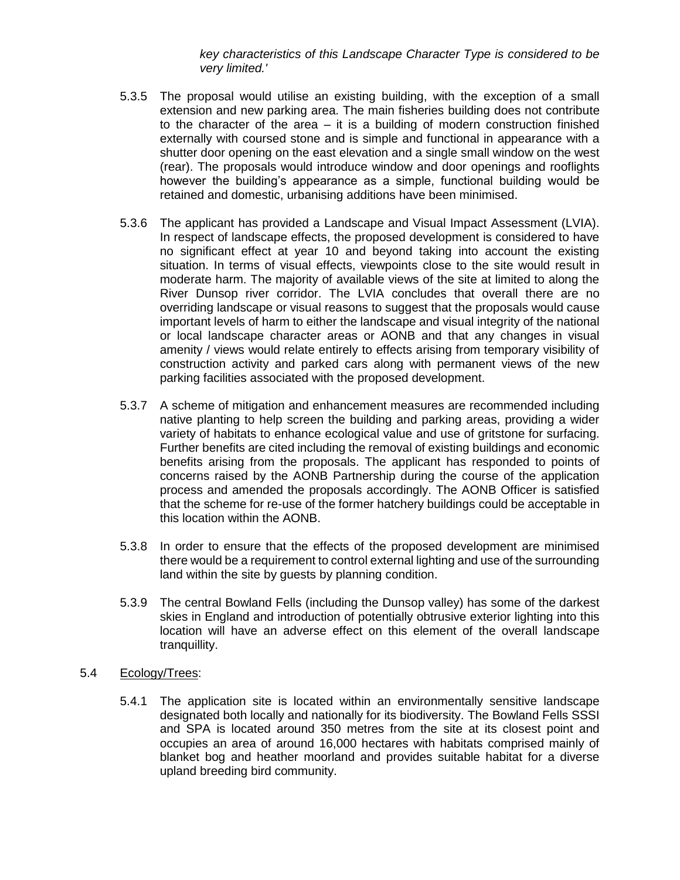*key characteristics of this Landscape Character Type is considered to be very limited.'*

- 5.3.5 The proposal would utilise an existing building, with the exception of a small extension and new parking area. The main fisheries building does not contribute to the character of the area – it is a building of modern construction finished externally with coursed stone and is simple and functional in appearance with a shutter door opening on the east elevation and a single small window on the west (rear). The proposals would introduce window and door openings and rooflights however the building's appearance as a simple, functional building would be retained and domestic, urbanising additions have been minimised.
- 5.3.6 The applicant has provided a Landscape and Visual Impact Assessment (LVIA). In respect of landscape effects, the proposed development is considered to have no significant effect at year 10 and beyond taking into account the existing situation. In terms of visual effects, viewpoints close to the site would result in moderate harm. The majority of available views of the site at limited to along the River Dunsop river corridor. The LVIA concludes that overall there are no overriding landscape or visual reasons to suggest that the proposals would cause important levels of harm to either the landscape and visual integrity of the national or local landscape character areas or AONB and that any changes in visual amenity / views would relate entirely to effects arising from temporary visibility of construction activity and parked cars along with permanent views of the new parking facilities associated with the proposed development.
- 5.3.7 A scheme of mitigation and enhancement measures are recommended including native planting to help screen the building and parking areas, providing a wider variety of habitats to enhance ecological value and use of gritstone for surfacing. Further benefits are cited including the removal of existing buildings and economic benefits arising from the proposals. The applicant has responded to points of concerns raised by the AONB Partnership during the course of the application process and amended the proposals accordingly. The AONB Officer is satisfied that the scheme for re-use of the former hatchery buildings could be acceptable in this location within the AONB.
- 5.3.8 In order to ensure that the effects of the proposed development are minimised there would be a requirement to control external lighting and use of the surrounding land within the site by guests by planning condition.
- 5.3.9 The central Bowland Fells (including the Dunsop valley) has some of the darkest skies in England and introduction of potentially obtrusive exterior lighting into this location will have an adverse effect on this element of the overall landscape tranquillity.
- 5.4 Ecology/Trees:
	- 5.4.1 The application site is located within an environmentally sensitive landscape designated both locally and nationally for its biodiversity. The Bowland Fells SSSI and SPA is located around 350 metres from the site at its closest point and occupies an area of around 16,000 hectares with habitats comprised mainly of blanket bog and heather moorland and provides suitable habitat for a diverse upland breeding bird community.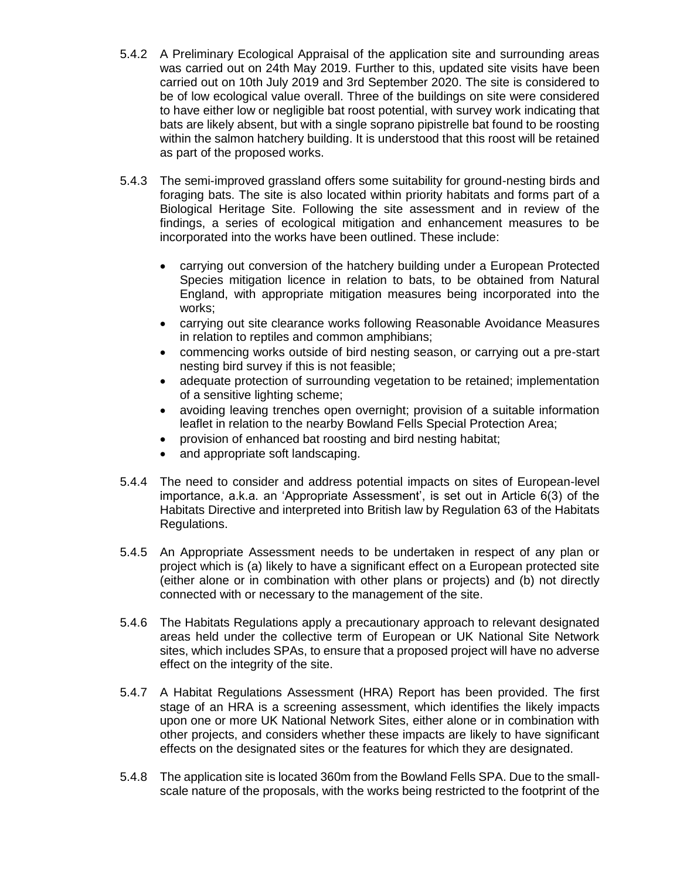- 5.4.2 A Preliminary Ecological Appraisal of the application site and surrounding areas was carried out on 24th May 2019. Further to this, updated site visits have been carried out on 10th July 2019 and 3rd September 2020. The site is considered to be of low ecological value overall. Three of the buildings on site were considered to have either low or negligible bat roost potential, with survey work indicating that bats are likely absent, but with a single soprano pipistrelle bat found to be roosting within the salmon hatchery building. It is understood that this roost will be retained as part of the proposed works.
- 5.4.3 The semi-improved grassland offers some suitability for ground-nesting birds and foraging bats. The site is also located within priority habitats and forms part of a Biological Heritage Site. Following the site assessment and in review of the findings, a series of ecological mitigation and enhancement measures to be incorporated into the works have been outlined. These include:
	- carrying out conversion of the hatchery building under a European Protected Species mitigation licence in relation to bats, to be obtained from Natural England, with appropriate mitigation measures being incorporated into the works;
	- carrying out site clearance works following Reasonable Avoidance Measures in relation to reptiles and common amphibians;
	- commencing works outside of bird nesting season, or carrying out a pre-start nesting bird survey if this is not feasible;
	- adequate protection of surrounding vegetation to be retained; implementation of a sensitive lighting scheme;
	- avoiding leaving trenches open overnight; provision of a suitable information leaflet in relation to the nearby Bowland Fells Special Protection Area;
	- provision of enhanced bat roosting and bird nesting habitat;
	- and appropriate soft landscaping.
- 5.4.4 The need to consider and address potential impacts on sites of European-level importance, a.k.a. an 'Appropriate Assessment', is set out in Article 6(3) of the Habitats Directive and interpreted into British law by Regulation 63 of the Habitats Regulations.
- 5.4.5 An Appropriate Assessment needs to be undertaken in respect of any plan or project which is (a) likely to have a significant effect on a European protected site (either alone or in combination with other plans or projects) and (b) not directly connected with or necessary to the management of the site.
- 5.4.6 The Habitats Regulations apply a precautionary approach to relevant designated areas held under the collective term of European or UK National Site Network sites, which includes SPAs, to ensure that a proposed project will have no adverse effect on the integrity of the site.
- 5.4.7 A Habitat Regulations Assessment (HRA) Report has been provided. The first stage of an HRA is a screening assessment, which identifies the likely impacts upon one or more UK National Network Sites, either alone or in combination with other projects, and considers whether these impacts are likely to have significant effects on the designated sites or the features for which they are designated.
- 5.4.8 The application site is located 360m from the Bowland Fells SPA. Due to the smallscale nature of the proposals, with the works being restricted to the footprint of the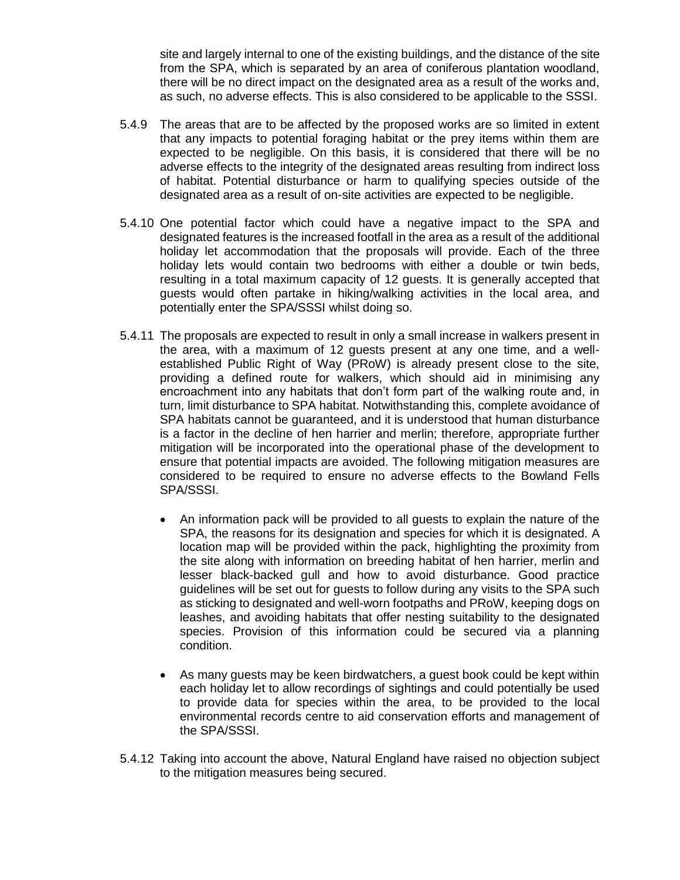site and largely internal to one of the existing buildings, and the distance of the site from the SPA, which is separated by an area of coniferous plantation woodland, there will be no direct impact on the designated area as a result of the works and, as such, no adverse effects. This is also considered to be applicable to the SSSI.

- 5.4.9 The areas that are to be affected by the proposed works are so limited in extent that any impacts to potential foraging habitat or the prey items within them are expected to be negligible. On this basis, it is considered that there will be no adverse effects to the integrity of the designated areas resulting from indirect loss of habitat. Potential disturbance or harm to qualifying species outside of the designated area as a result of on-site activities are expected to be negligible.
- 5.4.10 One potential factor which could have a negative impact to the SPA and designated features is the increased footfall in the area as a result of the additional holiday let accommodation that the proposals will provide. Each of the three holiday lets would contain two bedrooms with either a double or twin beds, resulting in a total maximum capacity of 12 guests. It is generally accepted that guests would often partake in hiking/walking activities in the local area, and potentially enter the SPA/SSSI whilst doing so.
- 5.4.11 The proposals are expected to result in only a small increase in walkers present in the area, with a maximum of 12 guests present at any one time, and a wellestablished Public Right of Way (PRoW) is already present close to the site, providing a defined route for walkers, which should aid in minimising any encroachment into any habitats that don't form part of the walking route and, in turn, limit disturbance to SPA habitat. Notwithstanding this, complete avoidance of SPA habitats cannot be guaranteed, and it is understood that human disturbance is a factor in the decline of hen harrier and merlin; therefore, appropriate further mitigation will be incorporated into the operational phase of the development to ensure that potential impacts are avoided. The following mitigation measures are considered to be required to ensure no adverse effects to the Bowland Fells SPA/SSSI.
	- An information pack will be provided to all guests to explain the nature of the SPA, the reasons for its designation and species for which it is designated. A location map will be provided within the pack, highlighting the proximity from the site along with information on breeding habitat of hen harrier, merlin and lesser black-backed gull and how to avoid disturbance. Good practice guidelines will be set out for guests to follow during any visits to the SPA such as sticking to designated and well-worn footpaths and PRoW, keeping dogs on leashes, and avoiding habitats that offer nesting suitability to the designated species. Provision of this information could be secured via a planning condition.
	- As many guests may be keen birdwatchers, a guest book could be kept within each holiday let to allow recordings of sightings and could potentially be used to provide data for species within the area, to be provided to the local environmental records centre to aid conservation efforts and management of the SPA/SSSI.
- 5.4.12 Taking into account the above, Natural England have raised no objection subject to the mitigation measures being secured.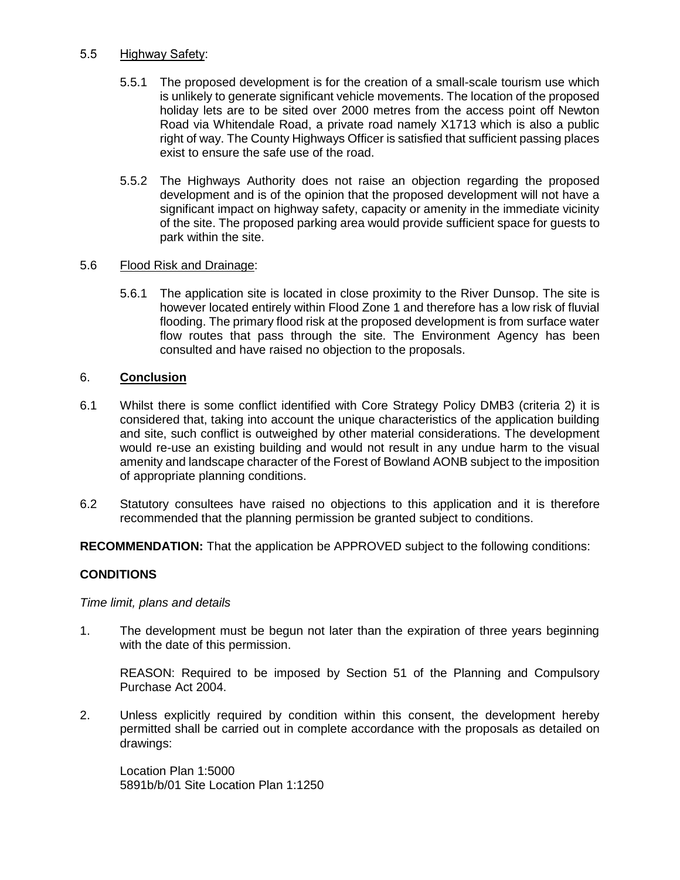### 5.5 Highway Safety:

- 5.5.1 The proposed development is for the creation of a small-scale tourism use which is unlikely to generate significant vehicle movements. The location of the proposed holiday lets are to be sited over 2000 metres from the access point off Newton Road via Whitendale Road, a private road namely X1713 which is also a public right of way. The County Highways Officer is satisfied that sufficient passing places exist to ensure the safe use of the road.
- 5.5.2 The Highways Authority does not raise an objection regarding the proposed development and is of the opinion that the proposed development will not have a significant impact on highway safety, capacity or amenity in the immediate vicinity of the site. The proposed parking area would provide sufficient space for guests to park within the site.

# 5.6 Flood Risk and Drainage:

5.6.1 The application site is located in close proximity to the River Dunsop. The site is however located entirely within Flood Zone 1 and therefore has a low risk of fluvial flooding. The primary flood risk at the proposed development is from surface water flow routes that pass through the site. The Environment Agency has been consulted and have raised no objection to the proposals.

# 6. **Conclusion**

- 6.1 Whilst there is some conflict identified with Core Strategy Policy DMB3 (criteria 2) it is considered that, taking into account the unique characteristics of the application building and site, such conflict is outweighed by other material considerations. The development would re-use an existing building and would not result in any undue harm to the visual amenity and landscape character of the Forest of Bowland AONB subject to the imposition of appropriate planning conditions.
- 6.2 Statutory consultees have raised no objections to this application and it is therefore recommended that the planning permission be granted subject to conditions.

**RECOMMENDATION:** That the application be APPROVED subject to the following conditions:

# **CONDITIONS**

*Time limit, plans and details*

1. The development must be begun not later than the expiration of three years beginning with the date of this permission.

REASON: Required to be imposed by Section 51 of the Planning and Compulsory Purchase Act 2004.

2. Unless explicitly required by condition within this consent, the development hereby permitted shall be carried out in complete accordance with the proposals as detailed on drawings:

Location Plan 1:5000 5891b/b/01 Site Location Plan 1:1250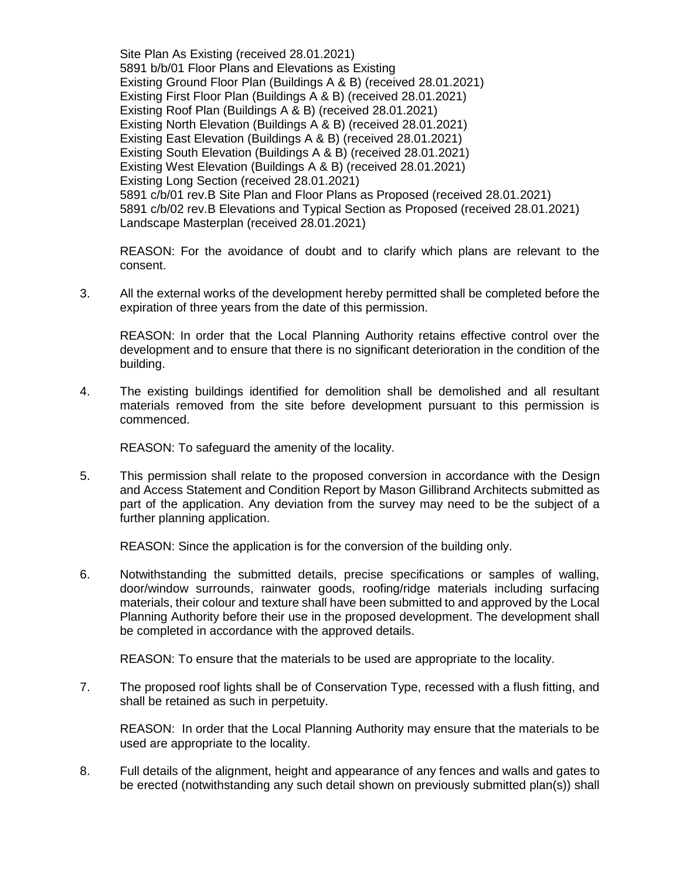Site Plan As Existing (received 28.01.2021) 5891 b/b/01 Floor Plans and Elevations as Existing Existing Ground Floor Plan (Buildings A & B) (received 28.01.2021) Existing First Floor Plan (Buildings A & B) (received 28.01.2021) Existing Roof Plan (Buildings A & B) (received 28.01.2021) Existing North Elevation (Buildings A & B) (received 28.01.2021) Existing East Elevation (Buildings A & B) (received 28.01.2021) Existing South Elevation (Buildings A & B) (received 28.01.2021) Existing West Elevation (Buildings A & B) (received 28.01.2021) Existing Long Section (received 28.01.2021) 5891 c/b/01 rev.B Site Plan and Floor Plans as Proposed (received 28.01.2021) 5891 c/b/02 rev.B Elevations and Typical Section as Proposed (received 28.01.2021) Landscape Masterplan (received 28.01.2021)

REASON: For the avoidance of doubt and to clarify which plans are relevant to the consent.

3. All the external works of the development hereby permitted shall be completed before the expiration of three years from the date of this permission.

REASON: In order that the Local Planning Authority retains effective control over the development and to ensure that there is no significant deterioration in the condition of the building.

4. The existing buildings identified for demolition shall be demolished and all resultant materials removed from the site before development pursuant to this permission is commenced.

REASON: To safeguard the amenity of the locality.

5. This permission shall relate to the proposed conversion in accordance with the Design and Access Statement and Condition Report by Mason Gillibrand Architects submitted as part of the application. Any deviation from the survey may need to be the subject of a further planning application.

REASON: Since the application is for the conversion of the building only.

6. Notwithstanding the submitted details, precise specifications or samples of walling, door/window surrounds, rainwater goods, roofing/ridge materials including surfacing materials, their colour and texture shall have been submitted to and approved by the Local Planning Authority before their use in the proposed development. The development shall be completed in accordance with the approved details.

REASON: To ensure that the materials to be used are appropriate to the locality.

7. The proposed roof lights shall be of Conservation Type, recessed with a flush fitting, and shall be retained as such in perpetuity.

REASON: In order that the Local Planning Authority may ensure that the materials to be used are appropriate to the locality.

8. Full details of the alignment, height and appearance of any fences and walls and gates to be erected (notwithstanding any such detail shown on previously submitted plan(s)) shall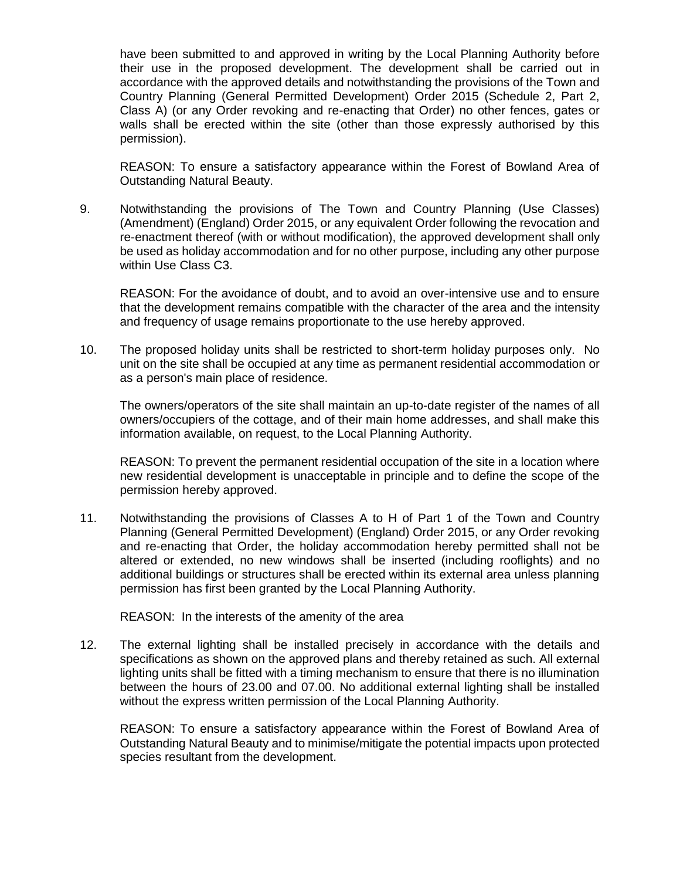have been submitted to and approved in writing by the Local Planning Authority before their use in the proposed development. The development shall be carried out in accordance with the approved details and notwithstanding the provisions of the Town and Country Planning (General Permitted Development) Order 2015 (Schedule 2, Part 2, Class A) (or any Order revoking and re-enacting that Order) no other fences, gates or walls shall be erected within the site (other than those expressly authorised by this permission).

REASON: To ensure a satisfactory appearance within the Forest of Bowland Area of Outstanding Natural Beauty.

9. Notwithstanding the provisions of The Town and Country Planning (Use Classes) (Amendment) (England) Order 2015, or any equivalent Order following the revocation and re-enactment thereof (with or without modification), the approved development shall only be used as holiday accommodation and for no other purpose, including any other purpose within Use Class C3.

REASON: For the avoidance of doubt, and to avoid an over-intensive use and to ensure that the development remains compatible with the character of the area and the intensity and frequency of usage remains proportionate to the use hereby approved.

10. The proposed holiday units shall be restricted to short-term holiday purposes only. No unit on the site shall be occupied at any time as permanent residential accommodation or as a person's main place of residence.

The owners/operators of the site shall maintain an up-to-date register of the names of all owners/occupiers of the cottage, and of their main home addresses, and shall make this information available, on request, to the Local Planning Authority.

REASON: To prevent the permanent residential occupation of the site in a location where new residential development is unacceptable in principle and to define the scope of the permission hereby approved.

11. Notwithstanding the provisions of Classes A to H of Part 1 of the Town and Country Planning (General Permitted Development) (England) Order 2015, or any Order revoking and re-enacting that Order, the holiday accommodation hereby permitted shall not be altered or extended, no new windows shall be inserted (including rooflights) and no additional buildings or structures shall be erected within its external area unless planning permission has first been granted by the Local Planning Authority.

REASON: In the interests of the amenity of the area

12. The external lighting shall be installed precisely in accordance with the details and specifications as shown on the approved plans and thereby retained as such. All external lighting units shall be fitted with a timing mechanism to ensure that there is no illumination between the hours of 23.00 and 07.00. No additional external lighting shall be installed without the express written permission of the Local Planning Authority.

REASON: To ensure a satisfactory appearance within the Forest of Bowland Area of Outstanding Natural Beauty and to minimise/mitigate the potential impacts upon protected species resultant from the development.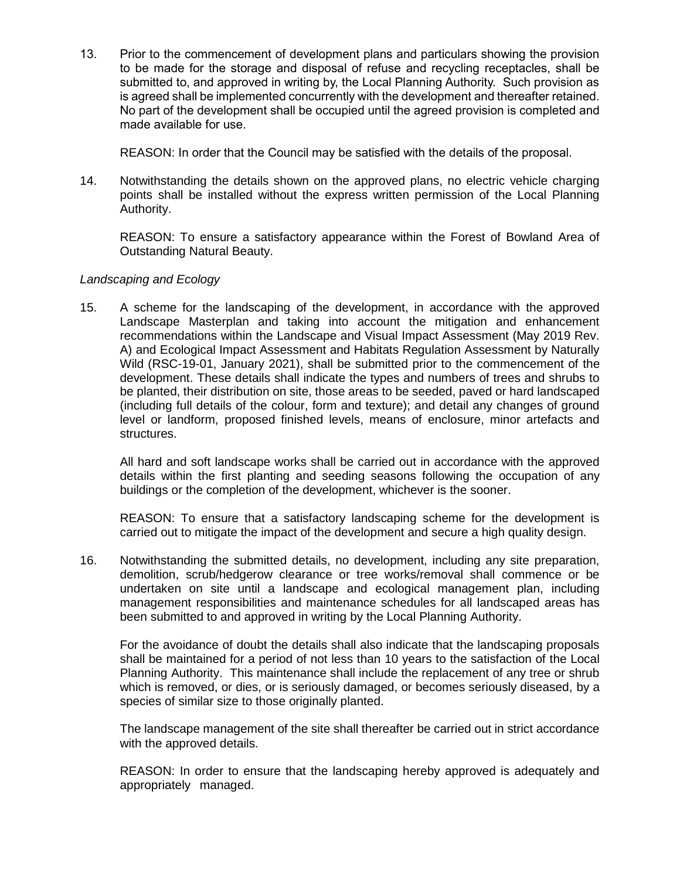13. Prior to the commencement of development plans and particulars showing the provision to be made for the storage and disposal of refuse and recycling receptacles, shall be submitted to, and approved in writing by, the Local Planning Authority. Such provision as is agreed shall be implemented concurrently with the development and thereafter retained. No part of the development shall be occupied until the agreed provision is completed and made available for use.

REASON: In order that the Council may be satisfied with the details of the proposal.

14. Notwithstanding the details shown on the approved plans, no electric vehicle charging points shall be installed without the express written permission of the Local Planning Authority.

REASON: To ensure a satisfactory appearance within the Forest of Bowland Area of Outstanding Natural Beauty.

#### *Landscaping and Ecology*

15. A scheme for the landscaping of the development, in accordance with the approved Landscape Masterplan and taking into account the mitigation and enhancement recommendations within the Landscape and Visual Impact Assessment (May 2019 Rev. A) and Ecological Impact Assessment and Habitats Regulation Assessment by Naturally Wild (RSC-19-01, January 2021), shall be submitted prior to the commencement of the development. These details shall indicate the types and numbers of trees and shrubs to be planted, their distribution on site, those areas to be seeded, paved or hard landscaped (including full details of the colour, form and texture); and detail any changes of ground level or landform, proposed finished levels, means of enclosure, minor artefacts and structures.

All hard and soft landscape works shall be carried out in accordance with the approved details within the first planting and seeding seasons following the occupation of any buildings or the completion of the development, whichever is the sooner.

REASON: To ensure that a satisfactory landscaping scheme for the development is carried out to mitigate the impact of the development and secure a high quality design.

16. Notwithstanding the submitted details, no development, including any site preparation, demolition, scrub/hedgerow clearance or tree works/removal shall commence or be undertaken on site until a landscape and ecological management plan, including management responsibilities and maintenance schedules for all landscaped areas has been submitted to and approved in writing by the Local Planning Authority.

For the avoidance of doubt the details shall also indicate that the landscaping proposals shall be maintained for a period of not less than 10 years to the satisfaction of the Local Planning Authority. This maintenance shall include the replacement of any tree or shrub which is removed, or dies, or is seriously damaged, or becomes seriously diseased, by a species of similar size to those originally planted.

The landscape management of the site shall thereafter be carried out in strict accordance with the approved details.

REASON: In order to ensure that the landscaping hereby approved is adequately and appropriately managed.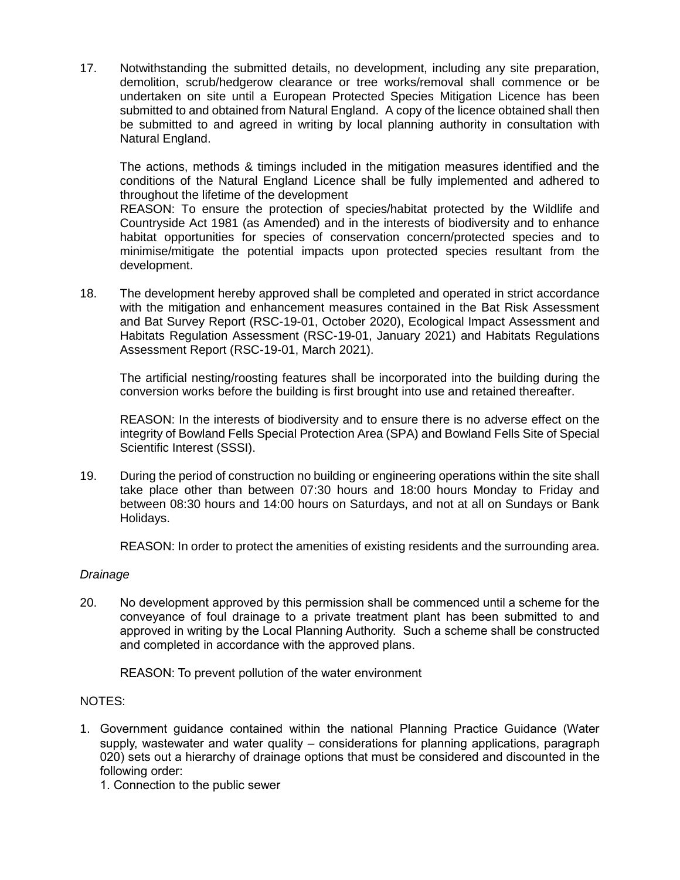17. Notwithstanding the submitted details, no development, including any site preparation, demolition, scrub/hedgerow clearance or tree works/removal shall commence or be undertaken on site until a European Protected Species Mitigation Licence has been submitted to and obtained from Natural England. A copy of the licence obtained shall then be submitted to and agreed in writing by local planning authority in consultation with Natural England.

The actions, methods & timings included in the mitigation measures identified and the conditions of the Natural England Licence shall be fully implemented and adhered to throughout the lifetime of the development

REASON: To ensure the protection of species/habitat protected by the Wildlife and Countryside Act 1981 (as Amended) and in the interests of biodiversity and to enhance habitat opportunities for species of conservation concern/protected species and to minimise/mitigate the potential impacts upon protected species resultant from the development.

18. The development hereby approved shall be completed and operated in strict accordance with the mitigation and enhancement measures contained in the Bat Risk Assessment and Bat Survey Report (RSC-19-01, October 2020), Ecological Impact Assessment and Habitats Regulation Assessment (RSC-19-01, January 2021) and Habitats Regulations Assessment Report (RSC-19-01, March 2021).

The artificial nesting/roosting features shall be incorporated into the building during the conversion works before the building is first brought into use and retained thereafter.

REASON: In the interests of biodiversity and to ensure there is no adverse effect on the integrity of Bowland Fells Special Protection Area (SPA) and Bowland Fells Site of Special Scientific Interest (SSSI).

19. During the period of construction no building or engineering operations within the site shall take place other than between 07:30 hours and 18:00 hours Monday to Friday and between 08:30 hours and 14:00 hours on Saturdays, and not at all on Sundays or Bank Holidays.

REASON: In order to protect the amenities of existing residents and the surrounding area.

#### *Drainage*

20. No development approved by this permission shall be commenced until a scheme for the conveyance of foul drainage to a private treatment plant has been submitted to and approved in writing by the Local Planning Authority. Such a scheme shall be constructed and completed in accordance with the approved plans.

REASON: To prevent pollution of the water environment

#### NOTES:

1. Government guidance contained within the national Planning Practice Guidance (Water supply, wastewater and water quality – considerations for planning applications, paragraph 020) sets out a hierarchy of drainage options that must be considered and discounted in the following order:

1. Connection to the public sewer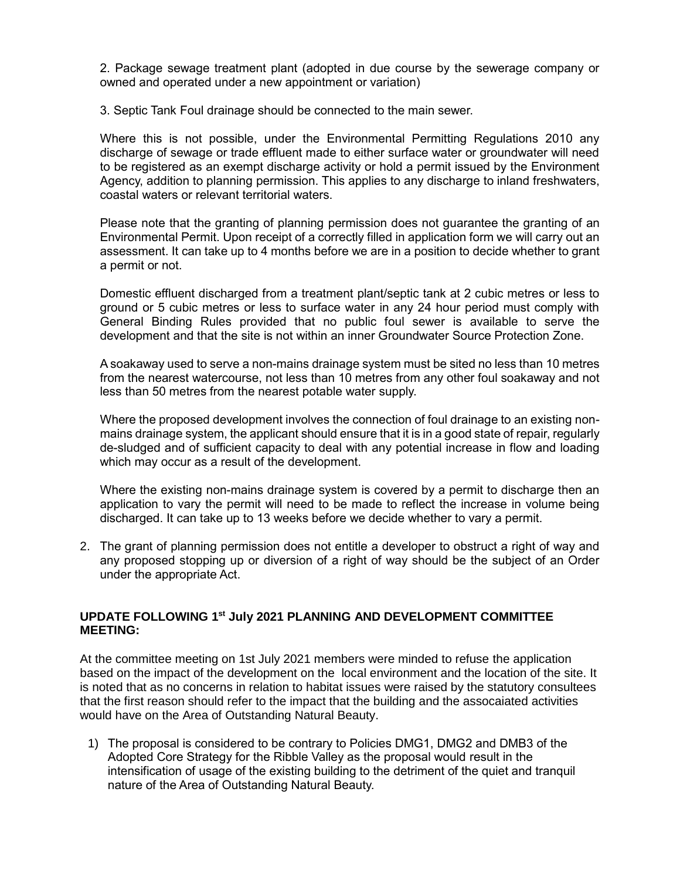2. Package sewage treatment plant (adopted in due course by the sewerage company or owned and operated under a new appointment or variation)

3. Septic Tank Foul drainage should be connected to the main sewer.

Where this is not possible, under the Environmental Permitting Regulations 2010 any discharge of sewage or trade effluent made to either surface water or groundwater will need to be registered as an exempt discharge activity or hold a permit issued by the Environment Agency, addition to planning permission. This applies to any discharge to inland freshwaters, coastal waters or relevant territorial waters.

Please note that the granting of planning permission does not guarantee the granting of an Environmental Permit. Upon receipt of a correctly filled in application form we will carry out an assessment. It can take up to 4 months before we are in a position to decide whether to grant a permit or not.

Domestic effluent discharged from a treatment plant/septic tank at 2 cubic metres or less to ground or 5 cubic metres or less to surface water in any 24 hour period must comply with General Binding Rules provided that no public foul sewer is available to serve the development and that the site is not within an inner Groundwater Source Protection Zone.

A soakaway used to serve a non-mains drainage system must be sited no less than 10 metres from the nearest watercourse, not less than 10 metres from any other foul soakaway and not less than 50 metres from the nearest potable water supply.

Where the proposed development involves the connection of foul drainage to an existing nonmains drainage system, the applicant should ensure that it is in a good state of repair, regularly de-sludged and of sufficient capacity to deal with any potential increase in flow and loading which may occur as a result of the development.

Where the existing non-mains drainage system is covered by a permit to discharge then an application to vary the permit will need to be made to reflect the increase in volume being discharged. It can take up to 13 weeks before we decide whether to vary a permit.

2. The grant of planning permission does not entitle a developer to obstruct a right of way and any proposed stopping up or diversion of a right of way should be the subject of an Order under the appropriate Act.

#### **UPDATE FOLLOWING 1 st July 2021 PLANNING AND DEVELOPMENT COMMITTEE MEETING:**

At the committee meeting on 1st July 2021 members were minded to refuse the application based on the impact of the development on the local environment and the location of the site. It is noted that as no concerns in relation to habitat issues were raised by the statutory consultees that the first reason should refer to the impact that the building and the assocaiated activities would have on the Area of Outstanding Natural Beauty.

1) The proposal is considered to be contrary to Policies DMG1, DMG2 and DMB3 of the Adopted Core Strategy for the Ribble Valley as the proposal would result in the intensification of usage of the existing building to the detriment of the quiet and tranquil nature of the Area of Outstanding Natural Beauty.